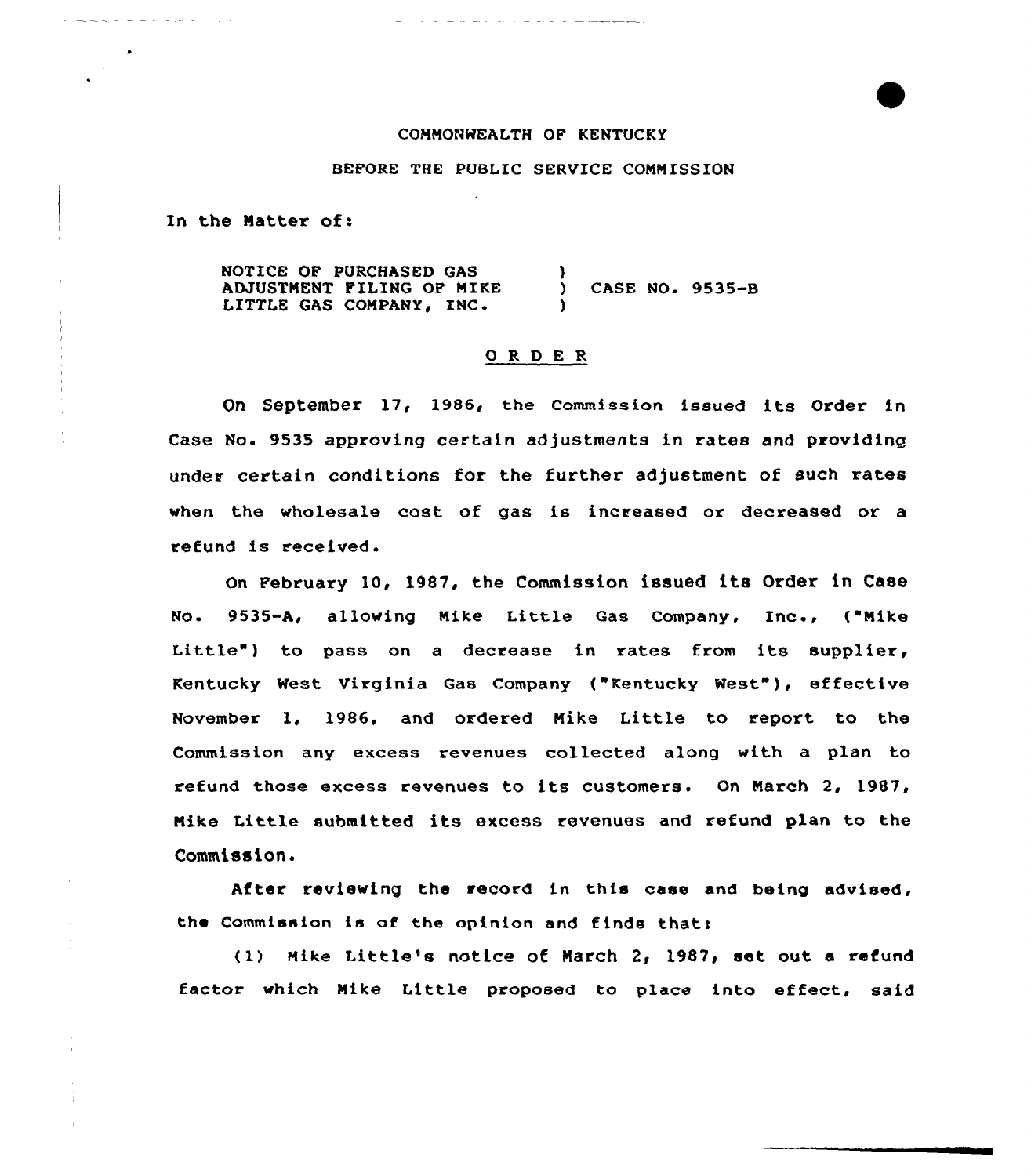## COMMONWEALTH OF KENTUCKY

## BEFORE THE PUBLIC SERVICE CONN ISSION

In the Matter of:

NOTICE OF PURCHASED GAS ADJUSTMENT FILING OF MIKE LITTLE GAS COMPANY, INC. ) ) CASE NO. 9535-B )

## ORDER

Dn September 17< 1986, the commission issued its Order in Case No. 9535 approving certain adjustments in rates and providing under certain conditions for the further adjustment of such rates when the wholesale cost of gas is increased or decreased or a refund is received.

On February 10, 1987, the Commission issued its Order in Case No. 9535-A, allowing Nike Little Qas Company, Inc., ("Nike Little") to pass on a decrease in rates from its supplier, Kentucky West Virginia Qas Company ("Kentucky Nest" ), effective November 1, 1986, and ordered Mike Little to report, to the Commission any excess revenues collected along with a plan to refund those excess revenues to its customers. On Narch 2, 1987, Nike Little submitted its excess revenues and refund plan to the Commission.

After reviewing the record in this case and being advised, the Commission is of the opinion and finds that:

(1) Mike Little's notice of March 2, 1987, set out a refund factor which Mike Little proposed to place into effect, said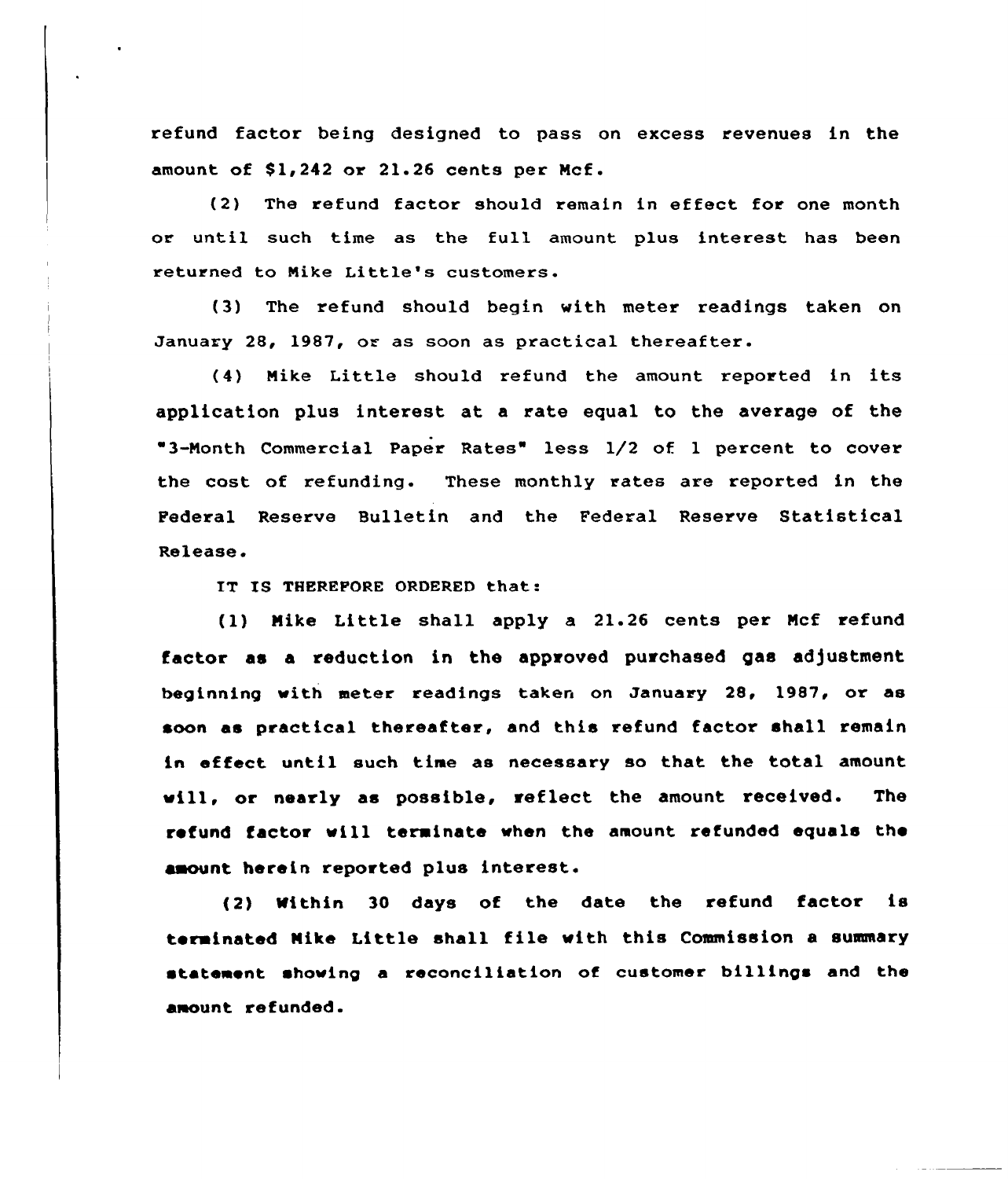refund factor being designed to pass on excess revenues in the amount of  $$1,242$  or  $21.26$  cents per Mcf.

(2) The refund factor should remain in effect for one month or until such time as the full amount plus interest has been returned to Nike Little's customers.

(3) The refund should begin with meter readings taken on January 28, 1987, or as soon as practical thereafter.

(4) Nike Little should refund the amount reported in its application plus interest at a rate equal to the average of the "3-Month Commercial Paper Rates" less 1/2 of 1 percent to cover the cost of refunding. These monthly rates are repoxted in the Federal Reserve Bulletin and the Federal Reserve Statistical Release

IT 18 THEREFORE ORDERED that:

(1) Nike Little shall apply a 21.26 cents per Ncf refund factor as a reduction in the approved purchased gas adjustment beginning with meter readings taken on January 28, 1987, or as soon as practical thereafter, and this refund factor shall remain in effect until such time as necessary so that the total amount vill, or nearly as possible, reflect the amount received. The refund factor will terminate when the amount refunded equals the amount herein reported plus interest.

(2) Within <sup>30</sup> days of the date the refund factor is terminated Nike Little shall file with this Commission <sup>a</sup> summary statement showing a reconciliation of customer billings and the amount refunded.